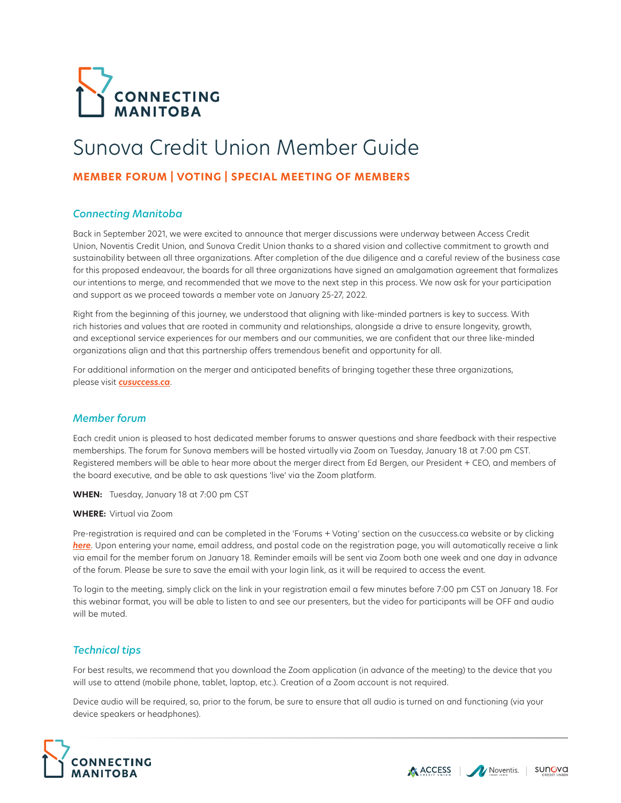

# Sunova Credit Union Member Guide

## **MEMBER FORUM | VOTING | SPECIAL MEETING OF MEMBERS**

### *Connecting Manitoba*

Back in September 2021, we were excited to announce that merger discussions were underway between Access Credit Union, Noventis Credit Union, and Sunova Credit Union thanks to a shared vision and collective commitment to growth and sustainability between all three organizations. After completion of the due diligence and a careful review of the business case for this proposed endeavour, the boards for all three organizations have signed an amalgamation agreement that formalizes our intentions to merge, and recommended that we move to the next step in this process. We now ask for your participation and support as we proceed towards a member vote on January 25-27, 2022.

Right from the beginning of this journey, we understood that aligning with like-minded partners is key to success. With rich histories and values that are rooted in community and relationships, alongside a drive to ensure longevity, growth, and exceptional service experiences for our members and our communities, we are confident that our three like-minded organizations align and that this partnership offers tremendous benefit and opportunity for all.

For additional information on the merger and anticipated benefits of bringing together these three organizations, please visit *[cusuccess.ca](https://cusuccess.ca/about-merger/#benefits)*.

### *Member forum*

Each credit union is pleased to host dedicated member forums to answer questions and share feedback with their respective memberships. The forum for Sunova members will be hosted virtually via Zoom on Tuesday, January 18 at 7:00 pm CST. Registered members will be able to hear more about the merger direct from Ed Bergen, our President + CEO, and members of the board executive, and be able to ask questions 'live' via the Zoom platform.

**WHEN:** Tuesday, January 18 at 7:00 pm CST

#### **WHERE:** Virtual via Zoom

Pre-registration is required and can be completed in the 'Forums + Voting' section on the cusuccess.ca website or by clicking *[here](https://us02web.zoom.us/webinar/register/WN_GxGla4aXSUWbd9Zp7ZKhmA)*. Upon entering your name, email address, and postal code on the registration page, you will automatically receive a link via email for the member forum on January 18. Reminder emails will be sent via Zoom both one week and one day in advance of the forum. Please be sure to save the email with your login link, as it will be required to access the event.

To login to the meeting, simply click on the link in your registration email a few minutes before 7:00 pm CST on January 18. For this webinar format, you will be able to listen to and see our presenters, but the video for participants will be OFF and audio will be muted.

### *Technical tips*

For best results, we recommend that you download the Zoom application (in advance of the meeting) to the device that you will use to attend (mobile phone, tablet, laptop, etc.). Creation of a Zoom account is not required.

Device audio will be required, so, prior to the forum, be sure to ensure that all audio is turned on and functioning (via your device speakers or headphones).



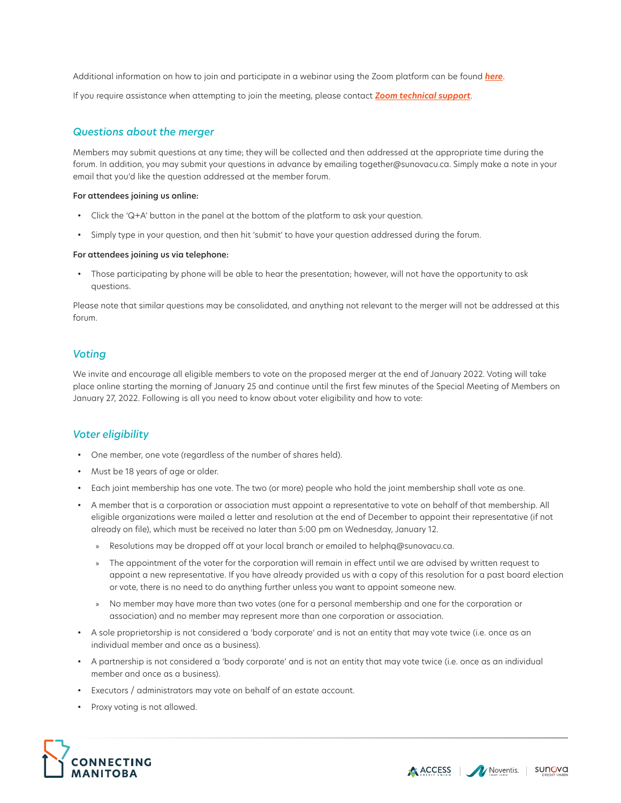Additional information on how to join and participate in a webinar using the Zoom platform can be found *[here](https://support.zoom.us/hc/en-us/sections/4415032875789-Attending-Webinars)*. If you require assistance when attempting to join the meeting, please contact *[Zoom technical support](https://support.zoom.us/hc/en-us/articles/201362003-Zoom-technical-support)*.

## *Questions about the merger*

Members may submit questions at any time; they will be collected and then addressed at the appropriate time during the forum. In addition, you may submit your questions in advance by emailing together@sunovacu.ca. Simply make a note in your email that you'd like the question addressed at the member forum.

#### For attendees joining us online:

- Click the 'Q+A' button in the panel at the bottom of the platform to ask your question.
- Simply type in your question, and then hit 'submit' to have your question addressed during the forum.

#### For attendees joining us via telephone:

• Those participating by phone will be able to hear the presentation; however, will not have the opportunity to ask questions.

Please note that similar questions may be consolidated, and anything not relevant to the merger will not be addressed at this forum.

## *Voting*

We invite and encourage all eligible members to vote on the proposed merger at the end of January 2022. Voting will take place online starting the morning of January 25 and continue until the first few minutes of the Special Meeting of Members on January 27, 2022. Following is all you need to know about voter eligibility and how to vote:

## *Voter eligibility*

- One member, one vote (regardless of the number of shares held).
- Must be 18 years of age or older.
- Each joint membership has one vote. The two (or more) people who hold the joint membership shall vote as one.
- A member that is a corporation or association must appoint a representative to vote on behalf of that membership. All eligible organizations were mailed a letter and resolution at the end of December to appoint their representative (if not already on file), which must be received no later than 5:00 pm on Wednesday, January 12.
	- » Resolutions may be dropped off at your local branch or emailed to helphq@sunovacu.ca.
	- » The appointment of the voter for the corporation will remain in effect until we are advised by written request to appoint a new representative. If you have already provided us with a copy of this resolution for a past board election or vote, there is no need to do anything further unless you want to appoint someone new.
	- » No member may have more than two votes (one for a personal membership and one for the corporation or association) and no member may represent more than one corporation or association.
- A sole proprietorship is not considered a 'body corporate' and is not an entity that may vote twice (i.e. once as an individual member and once as a business).
- A partnership is not considered a 'body corporate' and is not an entity that may vote twice (i.e. once as an individual member and once as a business).
- Executors / administrators may vote on behalf of an estate account.
- Proxy voting is not allowed.





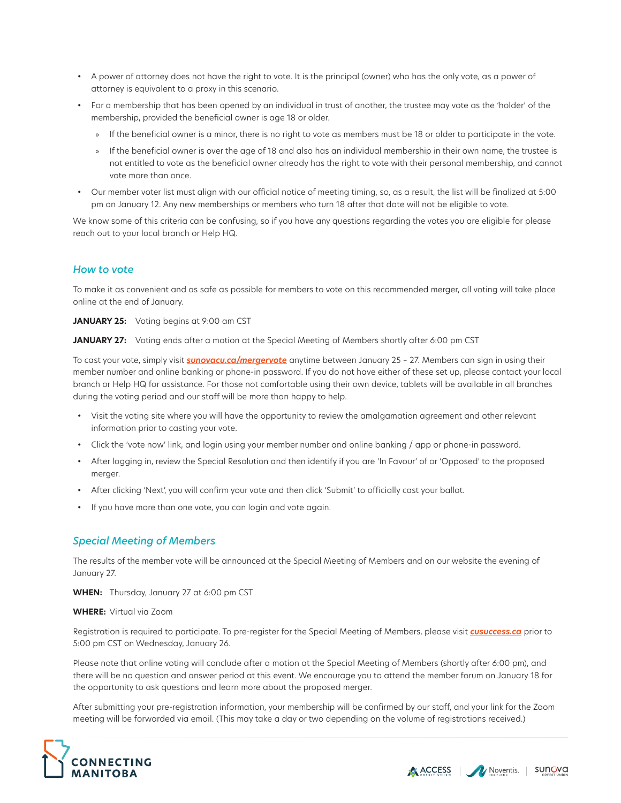- A power of attorney does not have the right to vote. It is the principal (owner) who has the only vote, as a power of attorney is equivalent to a proxy in this scenario.
- For a membership that has been opened by an individual in trust of another, the trustee may vote as the 'holder' of the membership, provided the beneficial owner is age 18 or older.
	- » If the beneficial owner is a minor, there is no right to vote as members must be 18 or older to participate in the vote.
	- » If the beneficial owner is over the age of 18 and also has an individual membership in their own name, the trustee is not entitled to vote as the beneficial owner already has the right to vote with their personal membership, and cannot vote more than once.
- Our member voter list must align with our official notice of meeting timing, so, as a result, the list will be finalized at 5:00 pm on January 12. Any new memberships or members who turn 18 after that date will not be eligible to vote.

We know some of this criteria can be confusing, so if you have any questions regarding the votes you are eligible for please reach out to your local branch or Help HQ.

#### *How to vote*

To make it as convenient and as safe as possible for members to vote on this recommended merger, all voting will take place online at the end of January.

**JANUARY 25:** Voting begins at 9:00 am CST

JANUARY 27: Voting ends after a motion at the Special Meeting of Members shortly after 6:00 pm CST

To cast your vote, simply visit *[sunovacu.ca/mergervote](https://www.sunovacu.ca/mergervote/)* anytime between January 25 – 27. Members can sign in using their member number and online banking or phone-in password. If you do not have either of these set up, please contact your local branch or Help HQ for assistance. For those not comfortable using their own device, tablets will be available in all branches during the voting period and our staff will be more than happy to help.

- Visit the voting site where you will have the opportunity to review the amalgamation agreement and other relevant information prior to casting your vote.
- Click the 'vote now' link, and login using your member number and online banking / app or phone-in password.
- After logging in, review the Special Resolution and then identify if you are 'In Favour' of or 'Opposed' to the proposed merger.
- After clicking 'Next', you will confirm your vote and then click 'Submit' to officially cast your ballot.
- If you have more than one vote, you can login and vote again.

#### *Special Meeting of Members*

The results of the member vote will be announced at the Special Meeting of Members and on our website the evening of January 27.

**WHEN:** Thursday, January 27 at 6:00 pm CST

#### **WHERE:** Virtual via Zoom

Registration is required to participate. To pre-register for the Special Meeting of Members, please visit *[cusuccess.ca](https://cusuccess.ca/forums-voting/)* prior to 5:00 pm CST on Wednesday, January 26.

Please note that online voting will conclude after a motion at the Special Meeting of Members (shortly after 6:00 pm), and there will be no question and answer period at this event. We encourage you to attend the member forum on January 18 for the opportunity to ask questions and learn more about the proposed merger.

After submitting your pre-registration information, your membership will be confirmed by our staff, and your link for the Zoom meeting will be forwarded via email. (This may take a day or two depending on the volume of registrations received.)